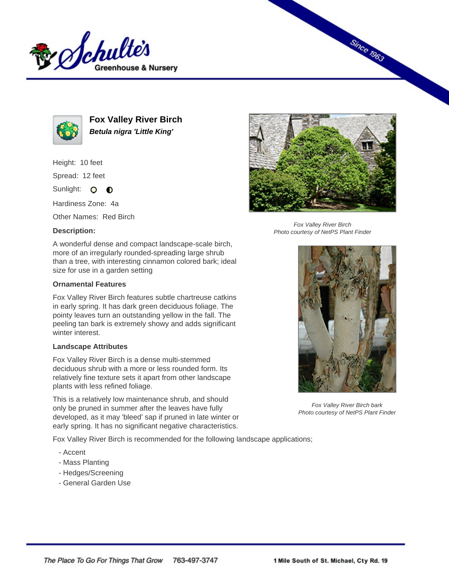



**Fox Valley River Birch Betula nigra 'Little King'**

Height: 10 feet

Spread: 12 feet

Sunlight: O **O** 

Hardiness Zone: 4a

Other Names: Red Birch

## **Description:**



## **Ornamental Features**

Fox Valley River Birch features subtle chartreuse catkins in early spring. It has dark green deciduous foliage. The pointy leaves turn an outstanding yellow in the fall. The peeling tan bark is extremely showy and adds significant winter interest.

## **Landscape Attributes**

Fox Valley River Birch is a dense multi-stemmed deciduous shrub with a more or less rounded form. Its relatively fine texture sets it apart from other landscape plants with less refined foliage.

This is a relatively low maintenance shrub, and should only be pruned in summer after the leaves have fully developed, as it may 'bleed' sap if pruned in late winter or early spring. It has no significant negative characteristics.

Fox Valley River Birch is recommended for the following landscape applications;

- Accent
- Mass Planting
- Hedges/Screening
- General Garden Use



**Since 1963** 

Fox Valley River Birch Photo courtesy of NetPS Plant Finder



Fox Valley River Birch bark Photo courtesy of NetPS Plant Finder